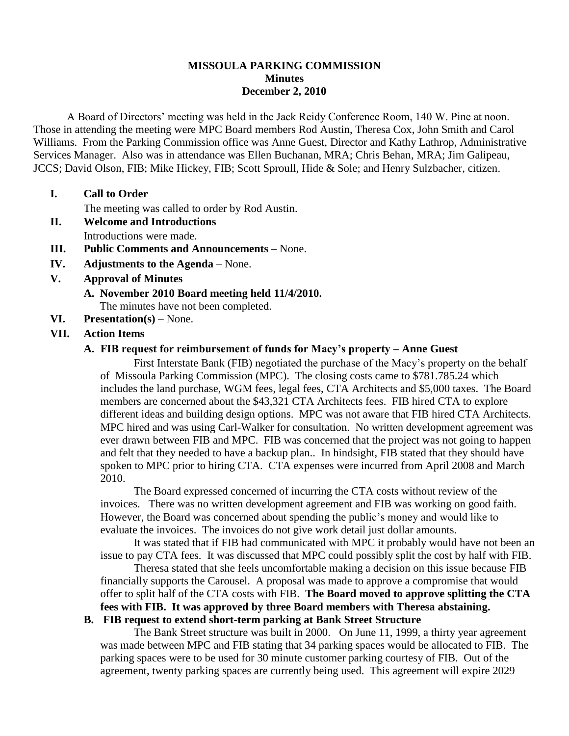#### **MISSOULA PARKING COMMISSION Minutes December 2, 2010**

A Board of Directors' meeting was held in the Jack Reidy Conference Room, 140 W. Pine at noon. Those in attending the meeting were MPC Board members Rod Austin, Theresa Cox, John Smith and Carol Williams. From the Parking Commission office was Anne Guest, Director and Kathy Lathrop, Administrative Services Manager. Also was in attendance was Ellen Buchanan, MRA; Chris Behan, MRA; Jim Galipeau, JCCS; David Olson, FIB; Mike Hickey, FIB; Scott Sproull, Hide & Sole; and Henry Sulzbacher, citizen.

#### **I. Call to Order**

The meeting was called to order by Rod Austin.

- **II. Welcome and Introductions** Introductions were made.
- **III. Public Comments and Announcements** None.
- **IV. Adjustments to the Agenda** None.
- **V. Approval of Minutes**
	- **A. November 2010 Board meeting held 11/4/2010.** The minutes have not been completed.
- **VI. Presentation(s)** None.

#### **VII. Action Items**

#### **A. FIB request for reimbursement of funds for Macy's property – Anne Guest**

First Interstate Bank (FIB) negotiated the purchase of the Macy's property on the behalf of Missoula Parking Commission (MPC). The closing costs came to \$781.785.24 which includes the land purchase, WGM fees, legal fees, CTA Architects and \$5,000 taxes. The Board members are concerned about the \$43,321 CTA Architects fees. FIB hired CTA to explore different ideas and building design options. MPC was not aware that FIB hired CTA Architects. MPC hired and was using Carl-Walker for consultation. No written development agreement was ever drawn between FIB and MPC. FIB was concerned that the project was not going to happen and felt that they needed to have a backup plan.. In hindsight, FIB stated that they should have spoken to MPC prior to hiring CTA. CTA expenses were incurred from April 2008 and March 2010.

The Board expressed concerned of incurring the CTA costs without review of the invoices. There was no written development agreement and FIB was working on good faith. However, the Board was concerned about spending the public's money and would like to evaluate the invoices. The invoices do not give work detail just dollar amounts.

It was stated that if FIB had communicated with MPC it probably would have not been an issue to pay CTA fees. It was discussed that MPC could possibly split the cost by half with FIB.

Theresa stated that she feels uncomfortable making a decision on this issue because FIB financially supports the Carousel. A proposal was made to approve a compromise that would offer to split half of the CTA costs with FIB. **The Board moved to approve splitting the CTA fees with FIB. It was approved by three Board members with Theresa abstaining.**

# **B. FIB request to extend short-term parking at Bank Street Structure**

The Bank Street structure was built in 2000. On June 11, 1999, a thirty year agreement was made between MPC and FIB stating that 34 parking spaces would be allocated to FIB. The parking spaces were to be used for 30 minute customer parking courtesy of FIB. Out of the agreement, twenty parking spaces are currently being used. This agreement will expire 2029